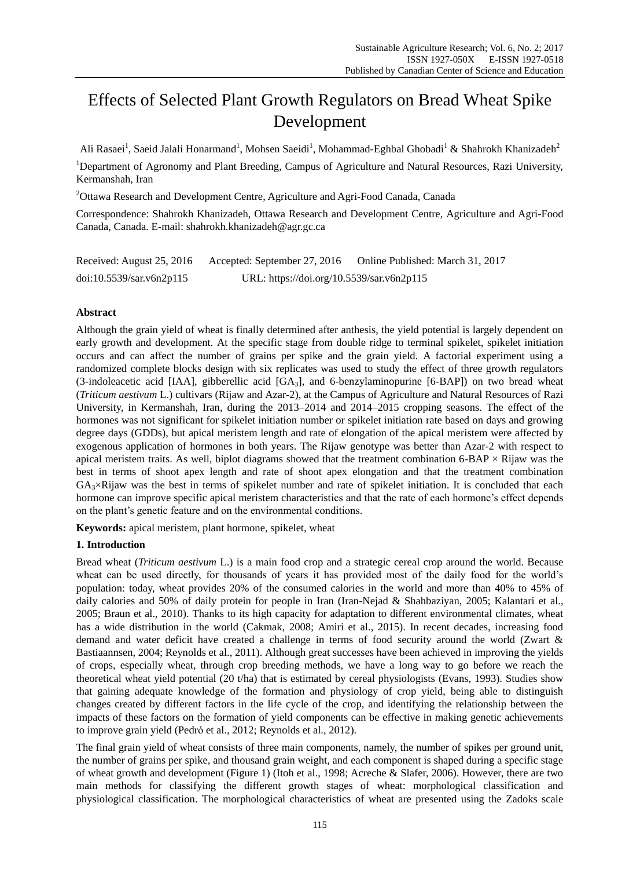# Effects of Selected Plant Growth Regulators on Bread Wheat Spike Development

Ali Rasaei<sup>1</sup>, Saeid Jalali Honarmand<sup>1</sup>, Mohsen Saeidi<sup>1</sup>, Mohammad-Eghbal Ghobadi<sup>1</sup> & Shahrokh Khanizadeh<sup>2</sup>

<sup>1</sup>Department of Agronomy and Plant Breeding, Campus of Agriculture and Natural Resources, Razi University, Kermanshah, Iran

<sup>2</sup>Ottawa Research and Development Centre, Agriculture and Agri-Food Canada, Canada

Correspondence: Shahrokh Khanizadeh, Ottawa Research and Development Centre, Agriculture and Agri-Food Canada, Canada. E-mail: shahrokh.khanizadeh@agr.gc.ca

| Received: August 25, 2016 | Accepted: September 27, 2016              | Online Published: March 31, 2017 |
|---------------------------|-------------------------------------------|----------------------------------|
| doi:10.5539/sar.v6n2p115  | URL: https://doi.org/10.5539/sar.v6n2p115 |                                  |

# **Abstract**

Although the grain yield of wheat is finally determined after anthesis, the yield potential is largely dependent on early growth and development. At the specific stage from double ridge to terminal spikelet, spikelet initiation occurs and can affect the number of grains per spike and the grain yield. A factorial experiment using a randomized complete blocks design with six replicates was used to study the effect of three growth regulators (3-indoleacetic acid [IAA], gibberellic acid [GA3], and 6-benzylaminopurine [6-BAP]) on two bread wheat (*Triticum aestivum* L.) cultivars (Rijaw and Azar-2), at the Campus of Agriculture and Natural Resources of Razi University, in Kermanshah, Iran, during the 2013–2014 and 2014–2015 cropping seasons. The effect of the hormones was not significant for spikelet initiation number or spikelet initiation rate based on days and growing degree days (GDDs), but apical meristem length and rate of elongation of the apical meristem were affected by exogenous application of hormones in both years. The Rijaw genotype was better than Azar-2 with respect to apical meristem traits. As well, biplot diagrams showed that the treatment combination  $6-BAP \times R$ ijaw was the best in terms of shoot apex length and rate of shoot apex elongation and that the treatment combination  $GA<sub>3</sub>×Rijaw$  was the best in terms of spikelet number and rate of spikelet initiation. It is concluded that each hormone can improve specific apical meristem characteristics and that the rate of each hormone's effect depends on the plant's genetic feature and on the environmental conditions.

**Keywords:** apical meristem, plant hormone, spikelet, wheat

# **1. Introduction**

Bread wheat (*Triticum aestivum* L.) is a main food crop and a strategic cereal crop around the world. Because wheat can be used directly, for thousands of years it has provided most of the daily food for the world's population: today, wheat provides 20% of the consumed calories in the world and more than 40% to 45% of daily calories and 50% of daily protein for people in Iran (Iran-Nejad & Shahbaziyan, 2005; Kalantari et al., 2005; Braun et al., 2010). Thanks to its high capacity for adaptation to different environmental climates, wheat has a wide distribution in the world (Cakmak, 2008; Amiri et al., 2015). In recent decades, increasing food demand and water deficit have created a challenge in terms of food security around the world (Zwart & Bastiaannsen, 2004; Reynolds et al., 2011). Although great successes have been achieved in improving the yields of crops, especially wheat, through crop breeding methods, we have a long way to go before we reach the theoretical wheat yield potential (20 t/ha) that is estimated by cereal physiologists (Evans, 1993). Studies show that gaining adequate knowledge of the formation and physiology of crop yield, being able to distinguish changes created by different factors in the life cycle of the crop, and identifying the relationship between the impacts of these factors on the formation of yield components can be effective in making genetic achievements to improve grain yield (Pedrό et al., 2012; Reynolds et al., 2012).

The final grain yield of wheat consists of three main components, namely, the number of spikes per ground unit, the number of grains per spike, and thousand grain weight, and each component is shaped during a specific stage of wheat growth and development (Figure 1) (Itoh et al., 1998; Acreche & Slafer, 2006). However, there are two main methods for classifying the different growth stages of wheat: morphological classification and physiological classification. The morphological characteristics of wheat are presented using the Zadoks scale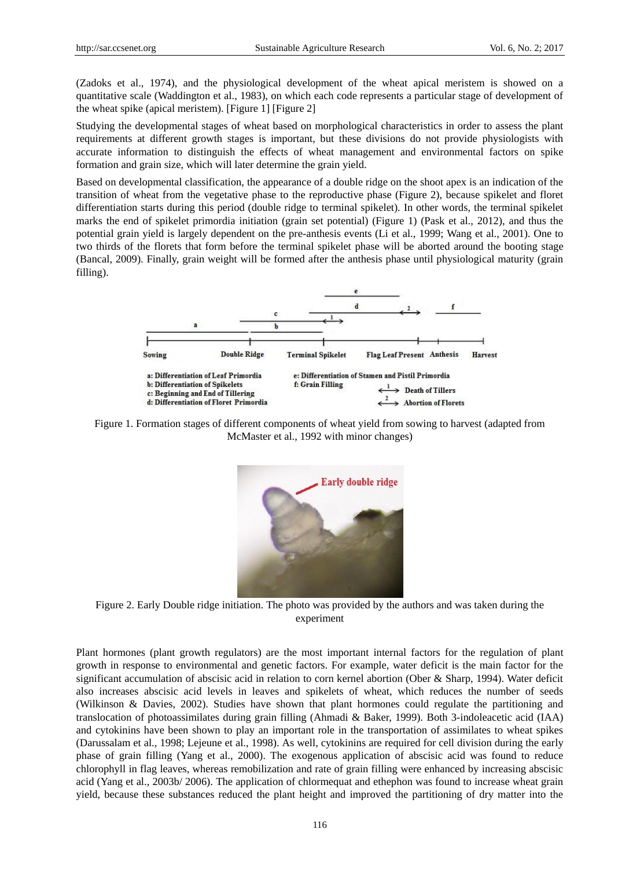(Zadoks et al., 1974), and the physiological development of the wheat apical meristem is showed on a quantitative scale (Waddington et al., 1983), on which each code represents a particular stage of development of the wheat spike (apical meristem). [Figure 1] [Figure 2]

Studying the developmental stages of wheat based on morphological characteristics in order to assess the plant requirements at different growth stages is important, but these divisions do not provide physiologists with accurate information to distinguish the effects of wheat management and environmental factors on spike formation and grain size, which will later determine the grain yield.

Based on developmental classification, the appearance of a double ridge on the shoot apex is an indication of the transition of wheat from the vegetative phase to the reproductive phase (Figure 2), because spikelet and floret differentiation starts during this period (double ridge to terminal spikelet). In other words, the terminal spikelet marks the end of spikelet primordia initiation (grain set potential) (Figure 1) (Pask et al., 2012), and thus the potential grain yield is largely dependent on the pre-anthesis events (Li et al., 1999; Wang et al., 2001). One to two thirds of the florets that form before the terminal spikelet phase will be aborted around the booting stage (Bancal, 2009). Finally, grain weight will be formed after the anthesis phase until physiological maturity (grain filling).



Figure 1. Formation stages of different components of wheat yield from sowing to harvest (adapted from McMaster et al., 1992 with minor changes)



Figure 2. Early Double ridge initiation. The photo was provided by the authors and was taken during the experiment

Plant hormones (plant growth regulators) are the most important internal factors for the regulation of plant growth in response to environmental and genetic factors. For example, water deficit is the main factor for the significant accumulation of abscisic acid in relation to corn kernel abortion (Ober & Sharp, 1994). Water deficit also increases abscisic acid levels in leaves and spikelets of wheat, which reduces the number of seeds (Wilkinson & Davies, 2002). Studies have shown that plant hormones could regulate the partitioning and translocation of photoassimilates during grain filling (Ahmadi & Baker, 1999). Both 3-indoleacetic acid (IAA) and cytokinins have been shown to play an important role in the transportation of assimilates to wheat spikes (Darussalam et al., 1998; Lejeune et al., 1998). As well, cytokinins are required for cell division during the early phase of grain filling (Yang et al., 2000). The exogenous application of abscisic acid was found to reduce chlorophyll in flag leaves, whereas remobilization and rate of grain filling were enhanced by increasing abscisic acid (Yang et al., 2003b/ 2006). The application of chlormequat and ethephon was found to increase wheat grain yield, because these substances reduced the plant height and improved the partitioning of dry matter into the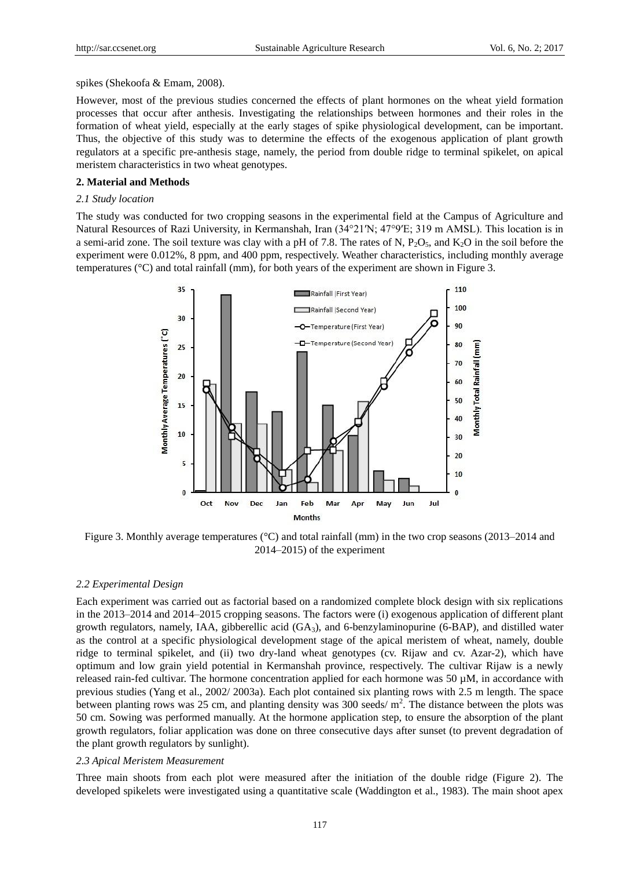spikes (Shekoofa & Emam, 2008).

However, most of the previous studies concerned the effects of plant hormones on the wheat yield formation processes that occur after anthesis. Investigating the relationships between hormones and their roles in the formation of wheat yield, especially at the early stages of spike physiological development, can be important. Thus, the objective of this study was to determine the effects of the exogenous application of plant growth regulators at a specific pre-anthesis stage, namely, the period from double ridge to terminal spikelet, on apical meristem characteristics in two wheat genotypes.

#### **2. Material and Methods**

### *2.1 Study location*

The study was conducted for two cropping seasons in the experimental field at the Campus of Agriculture and Natural Resources of Razi University, in Kermanshah, Iran (34°21′N; 47°9′E; 319 m AMSL). This location is in a semi-arid zone. The soil texture was clay with a pH of 7.8. The rates of N,  $P_2O_5$ , and  $K_2O$  in the soil before the experiment were 0.012%, 8 ppm, and 400 ppm, respectively. Weather characteristics, including monthly average temperatures  $(\mathcal{C})$  and total rainfall (mm), for both years of the experiment are shown in Figure 3.



Figure 3. Monthly average temperatures (°C) and total rainfall (mm) in the two crop seasons (2013–2014 and 2014–2015) of the experiment

#### *2.2 Experimental Design*

Each experiment was carried out as factorial based on a randomized complete block design with six replications in the 2013–2014 and 2014–2015 cropping seasons. The factors were (i) exogenous application of different plant growth regulators, namely, IAA, gibberellic acid (GA3), and 6-benzylaminopurine (6-BAP), and distilled water as the control at a specific physiological development stage of the apical meristem of wheat, namely, double ridge to terminal spikelet, and (ii) two dry-land wheat genotypes (cv. Rijaw and cv. Azar-2), which have optimum and low grain yield potential in Kermanshah province, respectively. The cultivar Rijaw is a newly released rain-fed cultivar. The hormone concentration applied for each hormone was 50 µM, in accordance with previous studies (Yang et al., 2002/ 2003a). Each plot contained six planting rows with 2.5 m length. The space between planting rows was 25 cm, and planting density was 300 seeds/ $m^2$ . The distance between the plots was 50 cm. Sowing was performed manually. At the hormone application step, to ensure the absorption of the plant growth regulators, foliar application was done on three consecutive days after sunset (to prevent degradation of the plant growth regulators by sunlight).

### *2.3 Apical Meristem Measurement*

Three main shoots from each plot were measured after the initiation of the double ridge (Figure 2). The developed spikelets were investigated using a quantitative scale (Waddington et al., 1983). The main shoot apex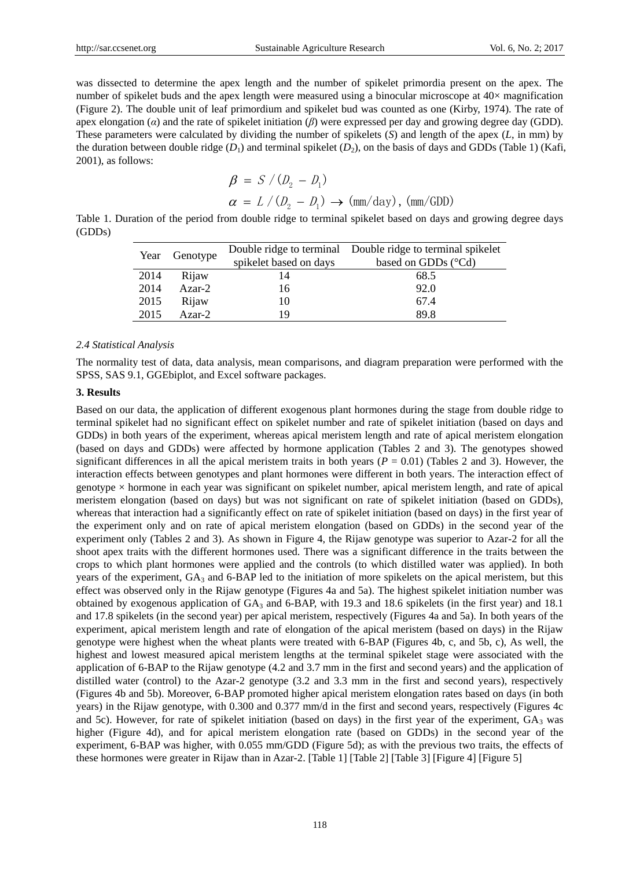was dissected to determine the apex length and the number of spikelet primordia present on the apex. The number of spikelet buds and the apex length were measured using a binocular microscope at  $40 \times$  magnification (Figure 2). The double unit of leaf primordium and spikelet bud was counted as one (Kirby, 1974). The rate of apex elongation (*α*) and the rate of spikelet initiation (*β*) were expressed per day and growing degree day (GDD). These parameters were calculated by dividing the number of spikelets (*S*) and length of the apex (*L*, in mm) by the duration between double ridge  $(D_1)$  and terminal spikelet  $(D_2)$ , on the basis of days and GDDs (Table 1) (Kafi, 2001), as follows:

$$
\beta = S / (D_2 - D_1)
$$
  
\n
$$
\alpha = L / (D_2 - D_1) \rightarrow (mm/day), (mm/GDD)
$$

Table 1. Duration of the period from double ridge to terminal spikelet based on days and growing degree days (GDDs)

| Genotype<br>Year |                        | Double ridge to terminal Double ridge to terminal spikelet |      |
|------------------|------------------------|------------------------------------------------------------|------|
|                  | spikelet based on days | based on GDDs ( Cd)                                        |      |
| 2014             | Rijaw                  | 14                                                         | 68.5 |
| 2014             | $Azar-2$               | 16                                                         | 92.0 |
| 2015             | Rijaw                  | 10                                                         | 67.4 |
| 2015             | $Azar-2$               | 19                                                         | 89.8 |

### *2.4 Statistical Analysis*

The normality test of data, data analysis, mean comparisons, and diagram preparation were performed with the SPSS, SAS 9.1, GGEbiplot, and Excel software packages.

### **3. Results**

Based on our data, the application of different exogenous plant hormones during the stage from double ridge to terminal spikelet had no significant effect on spikelet number and rate of spikelet initiation (based on days and GDDs) in both years of the experiment, whereas apical meristem length and rate of apical meristem elongation (based on days and GDDs) were affected by hormone application (Tables 2 and 3). The genotypes showed significant differences in all the apical meristem traits in both years ( $P = 0.01$ ) (Tables 2 and 3). However, the interaction effects between genotypes and plant hormones were different in both years. The interaction effect of genotype × hormone in each year was significant on spikelet number, apical meristem length, and rate of apical meristem elongation (based on days) but was not significant on rate of spikelet initiation (based on GDDs), whereas that interaction had a significantly effect on rate of spikelet initiation (based on days) in the first year of the experiment only and on rate of apical meristem elongation (based on GDDs) in the second year of the experiment only (Tables 2 and 3). As shown in Figure 4, the Rijaw genotype was superior to Azar-2 for all the shoot apex traits with the different hormones used. There was a significant difference in the traits between the crops to which plant hormones were applied and the controls (to which distilled water was applied). In both years of the experiment,  $GA_3$  and  $6-BAP$  led to the initiation of more spikelets on the apical meristem, but this effect was observed only in the Rijaw genotype (Figures 4a and 5a). The highest spikelet initiation number was obtained by exogenous application of GA<sup>3</sup> and 6-BAP, with 19.3 and 18.6 spikelets (in the first year) and 18.1 and 17.8 spikelets (in the second year) per apical meristem, respectively (Figures 4a and 5a). In both years of the experiment, apical meristem length and rate of elongation of the apical meristem (based on days) in the Rijaw genotype were highest when the wheat plants were treated with 6-BAP (Figures 4b, c, and 5b, c), As well, the highest and lowest measured apical meristem lengths at the terminal spikelet stage were associated with the application of 6-BAP to the Rijaw genotype (4.2 and 3.7 mm in the first and second years) and the application of distilled water (control) to the Azar-2 genotype  $(3.2 \text{ and } 3.3 \text{ mm}$  in the first and second years), respectively (Figures 4b and 5b). Moreover, 6-BAP promoted higher apical meristem elongation rates based on days (in both years) in the Rijaw genotype, with 0.300 and 0.377 mm/d in the first and second years, respectively (Figures 4c and 5c). However, for rate of spikelet initiation (based on days) in the first year of the experiment,  $GA_3$  was higher (Figure 4d), and for apical meristem elongation rate (based on GDDs) in the second year of the experiment, 6-BAP was higher, with 0.055 mm/GDD (Figure 5d); as with the previous two traits, the effects of these hormones were greater in Rijaw than in Azar-2. [Table 1] [Table 2] [Table 3] [Figure 4] [Figure 5]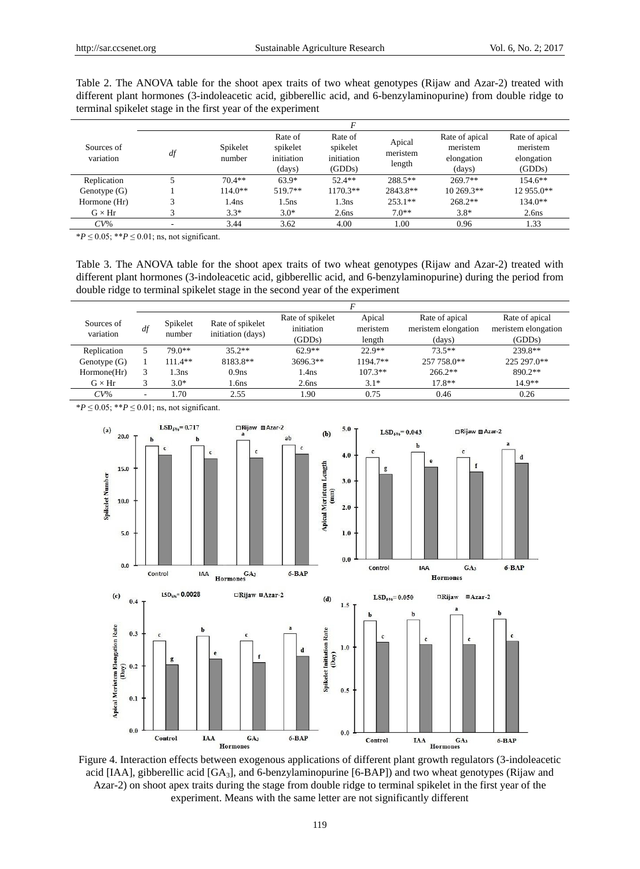| different plant hormones (3-indoleacetic acid, gibberellic acid, and 6-benzylaminopurine) from double ridge to<br>terminal spikelet stage in the first year of the experiment |         |         |                |                |
|-------------------------------------------------------------------------------------------------------------------------------------------------------------------------------|---------|---------|----------------|----------------|
|                                                                                                                                                                               |         |         |                |                |
|                                                                                                                                                                               | Rate of | Rate of | Rate of apical | Rate of apical |

Table 2. The ANOVA table for the shoot apex traits of two wheat genotypes (Rijaw and Azar-2) treated with

| Sources of<br>variation | df | Spikelet<br>number | Rate of<br>spikelet<br>initiation<br>(days) | Rate of<br>spikelet<br>initiation<br>(GDDs) | Apical<br>meristem<br>length | Rate of apical<br>meristem<br>elongation<br>(days) | Rate of apical<br>meristem<br>elongation<br>(GDDs) |
|-------------------------|----|--------------------|---------------------------------------------|---------------------------------------------|------------------------------|----------------------------------------------------|----------------------------------------------------|
| Replication             |    | $70.4**$           | $63.9*$                                     | $52.4**$                                    | $288.5**$                    | $269.7**$                                          | $154.6**$                                          |
| Genotype $(G)$          |    | $114.0**$          | 519.7**                                     | $1170.3**$                                  | 2843.8**                     | $10\,269.3**$                                      | 12 955.0**                                         |
| Hormone (Hr)            |    | 1.4ns              | $1.5$ ns                                    | 1.3ns                                       | $253.1**$                    | $268.2**$                                          | $134.0**$                                          |
| $G \times Hr$           |    | $3.3*$             | $3.0*$                                      | 2.6 <sub>ns</sub>                           | $7.0**$                      | $3.8*$                                             | 2.6 <sub>ns</sub>                                  |
| $CV\%$                  |    | 3.44               | 3.62                                        | 4.00                                        | 00.1                         | 0.96                                               | 1.33                                               |

 $*P \le 0.05$ ;  $**P \le 0.01$ ; ns, not significant.

Table 3. The ANOVA table for the shoot apex traits of two wheat genotypes (Rijaw and Azar-2) treated with different plant hormones (3-indoleacetic acid, gibberellic acid, and 6-benzylaminopurine) during the period from double ridge to terminal spikelet stage in the second year of the experiment

| Sources of<br>variation | df | Spikelet<br>number | Rate of spikelet<br>initiation (days) | Rate of spikelet<br>initiation<br>(GDDs) | Apical<br>meristem<br>length | Rate of apical<br>meristem elongation<br>(days) | Rate of apical<br>meristem elongation<br>(GDDs) |
|-------------------------|----|--------------------|---------------------------------------|------------------------------------------|------------------------------|-------------------------------------------------|-------------------------------------------------|
| Replication             |    | $79.0**$           | $35.2**$                              | $62.9**$                                 | $22.9**$                     | $73.5**$                                        | 239.8**                                         |
| Genotype $(G)$          |    | $111.4**$          | 8183.8**                              | $3696.3**$                               | $1194.7**$                   | 257 758.0**                                     | 225 297.0**                                     |
| Hormone(Hr)             |    | 1.3ns              | 0.9 <sub>ns</sub>                     | 1.4ns                                    | $107.3**$                    | $266.2**$                                       | $890.2**$                                       |
| $G \times Hr$           |    | $3.0*$             | 1.6ns                                 | 2.6 <sub>ns</sub>                        | $3.1*$                       | $17.8**$                                        | $14.9**$                                        |
| $CV\%$                  | -  | . 70               | 2.55                                  | .90                                      | 0.75                         | 0.46                                            | 0.26                                            |

 $*P$  ≤ 0.05;  $**P$  ≤ 0.01; ns, not significant.



Figure 4. Interaction effects between exogenous applications of different plant growth regulators (3-indoleacetic acid [IAA], gibberellic acid [GA<sub>3</sub>], and 6-benzylaminopurine [6-BAP]) and two wheat genotypes (Rijaw and Azar-2) on shoot apex traits during the stage from double ridge to terminal spikelet in the first year of the experiment. Means with the same letter are not significantly different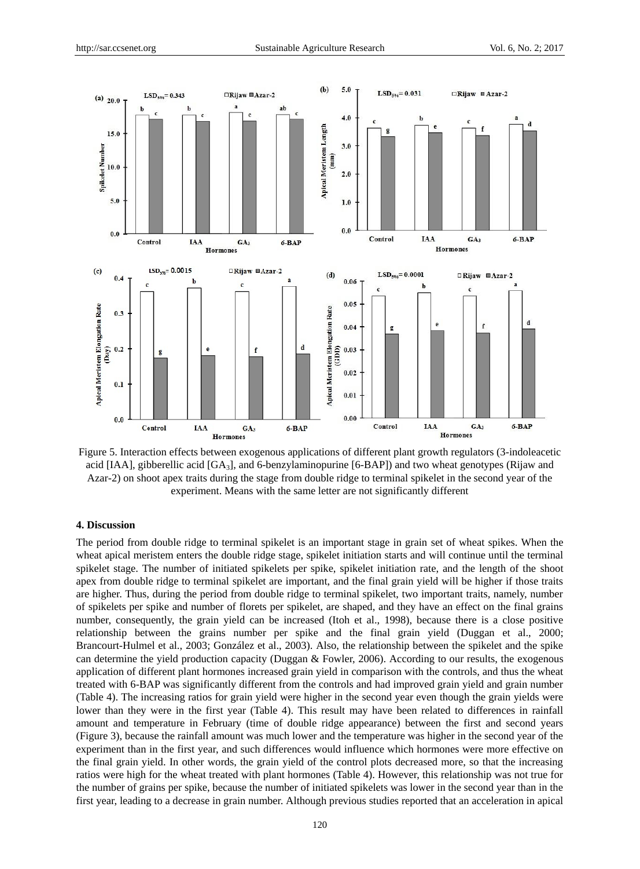

Figure 5. Interaction effects between exogenous applications of different plant growth regulators (3-indoleacetic acid [IAA], gibberellic acid  $[GA_3]$ , and 6-benzylaminopurine [6-BAP]) and two wheat genotypes (Rijaw and Azar-2) on shoot apex traits during the stage from double ridge to terminal spikelet in the second year of the experiment. Means with the same letter are not significantly different

#### **4. Discussion**

The period from double ridge to terminal spikelet is an important stage in grain set of wheat spikes. When the wheat apical meristem enters the double ridge stage, spikelet initiation starts and will continue until the terminal spikelet stage. The number of initiated spikelets per spike, spikelet initiation rate, and the length of the shoot apex from double ridge to terminal spikelet are important, and the final grain yield will be higher if those traits are higher. Thus, during the period from double ridge to terminal spikelet, two important traits, namely, number of spikelets per spike and number of florets per spikelet, are shaped, and they have an effect on the final grains number, consequently, the grain yield can be increased (Itoh et al., 1998), because there is a close positive relationship between the grains number per spike and the final grain yield (Duggan et al., 2000; Brancourt-Hulmel et al., 2003; González et al., 2003). Also, the relationship between the spikelet and the spike can determine the yield production capacity (Duggan & Fowler, 2006). According to our results, the exogenous application of different plant hormones increased grain yield in comparison with the controls, and thus the wheat treated with 6-BAP was significantly different from the controls and had improved grain yield and grain number (Table 4). The increasing ratios for grain yield were higher in the second year even though the grain yields were lower than they were in the first year (Table 4). This result may have been related to differences in rainfall amount and temperature in February (time of double ridge appearance) between the first and second years (Figure 3), because the rainfall amount was much lower and the temperature was higher in the second year of the experiment than in the first year, and such differences would influence which hormones were more effective on the final grain yield. In other words, the grain yield of the control plots decreased more, so that the increasing ratios were high for the wheat treated with plant hormones (Table 4). However, this relationship was not true for the number of grains per spike, because the number of initiated spikelets was lower in the second year than in the first year, leading to a decrease in grain number. Although previous studies reported that an acceleration in apical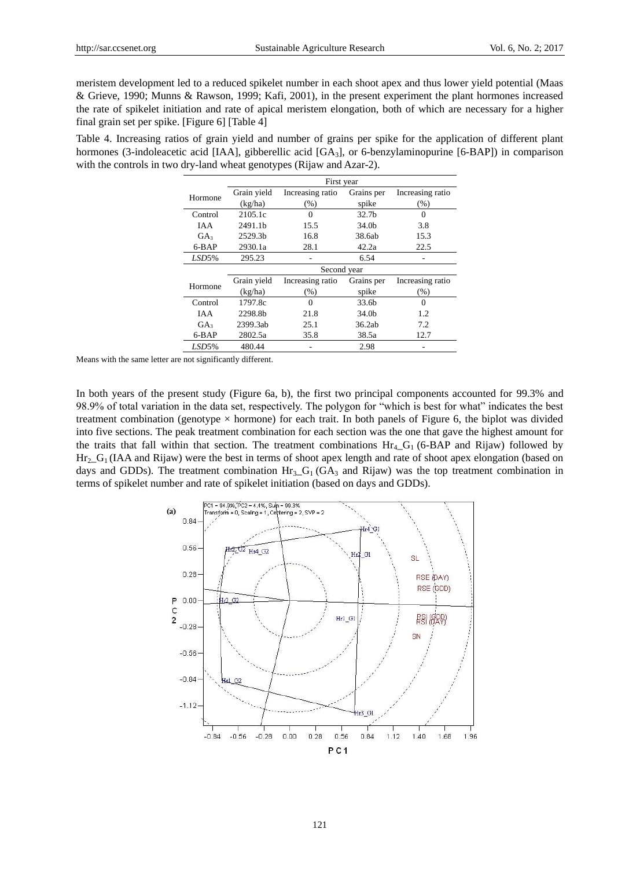meristem development led to a reduced spikelet number in each shoot apex and thus lower yield potential (Maas & Grieve, 1990; Munns & Rawson, 1999; Kafi, 2001), in the present experiment the plant hormones increased the rate of spikelet initiation and rate of apical meristem elongation, both of which are necessary for a higher final grain set per spike. [Figure 6] [Table 4]

Table 4. Increasing ratios of grain yield and number of grains per spike for the application of different plant hormones (3-indoleacetic acid [IAA], gibberellic acid [GA<sub>3</sub>], or 6-benzylaminopurine [6-BAP]) in comparison with the controls in two dry-land wheat genotypes (Rijaw and Azar-2).

|                 | First year  |                  |                   |                  |  |  |
|-----------------|-------------|------------------|-------------------|------------------|--|--|
| Hormone         | Grain yield | Increasing ratio | Grains per        | Increasing ratio |  |  |
|                 | (kg/ha)     | (% )             | spike             | (% )             |  |  |
| Control         | 2105.1c     | $\theta$         | 32.7 <sub>b</sub> | $\Omega$         |  |  |
| <b>IAA</b>      | 2491.1b     | 15.5             | 34.0 <sub>h</sub> | 3.8              |  |  |
| GA <sub>3</sub> | 2529.3b     | 16.8             | 38.6ab            | 15.3             |  |  |
| 6-BAP           | 2930.1a     | 28.1             | 42.2a             | 22.5             |  |  |
| LSD5%           | 295.23      |                  | 6.54              |                  |  |  |
|                 | Second year |                  |                   |                  |  |  |
| Hormone         | Grain yield | Increasing ratio | Grains per        | Increasing ratio |  |  |
|                 | (kg/ha)     | (% )             | spike             | (% )             |  |  |
| Control         | 1797.8c     | $\theta$         | 33.6b             | $\Omega$         |  |  |
| <b>IAA</b>      | 2298.8b     | 21.8             | 34.0b             | 1.2              |  |  |
| GA <sub>3</sub> | 2399.3ab    | 25.1             | 36.2ab            | 7.2              |  |  |
| 6-BAP           | 2802.5a     | 35.8             | 38.5a             | 12.7             |  |  |
| LSD5%           | 480.44      |                  | 2.98              |                  |  |  |

Means with the same letter are not significantly different.

In both years of the present study (Figure 6a, b), the first two principal components accounted for 99.3% and 98.9% of total variation in the data set, respectively. The polygon for "which is best for what" indicates the best treatment combination (genotype  $\times$  hormone) for each trait. In both panels of Figure 6, the biplot was divided into five sections. The peak treatment combination for each section was the one that gave the highest amount for the traits that fall within that section. The treatment combinations  $Hr_4$  G<sub>1</sub> (6-BAP and Rijaw) followed by  $\text{Hr}_2\text{-}G_1$  (IAA and Rijaw) were the best in terms of shoot apex length and rate of shoot apex elongation (based on days and GDDs). The treatment combination  $Hr_3_G(GA_3)$  and Rijaw) was the top treatment combination in terms of spikelet number and rate of spikelet initiation (based on days and GDDs).

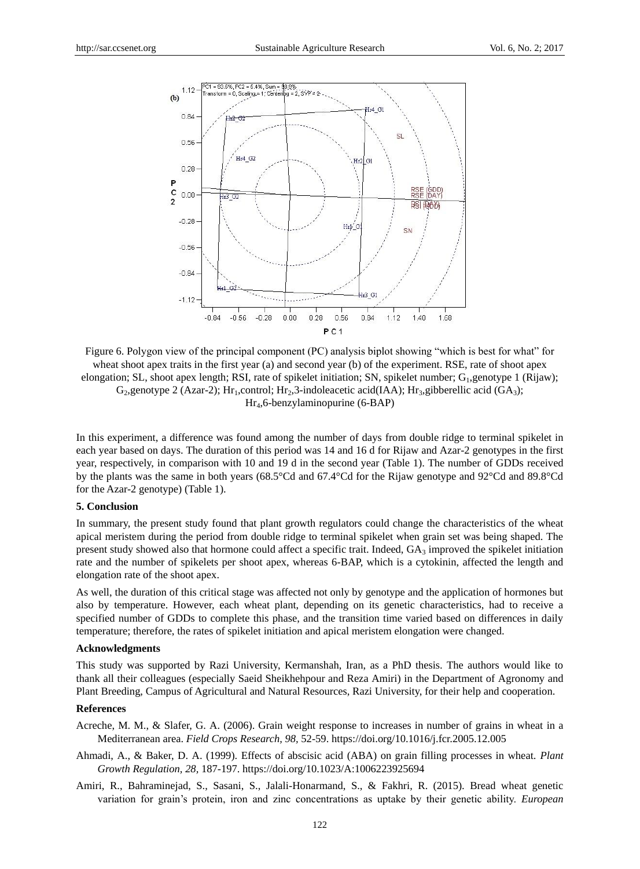

Figure 6. Polygon view of the principal component (PC) analysis biplot showing "which is best for what" for wheat shoot apex traits in the first year (a) and second year (b) of the experiment. RSE, rate of shoot apex elongation; SL, shoot apex length; RSI, rate of spikelet initiation; SN, spikelet number; G<sub>1</sub>,genotype 1 (Rijaw); G<sub>2</sub>, genotype 2 (Azar-2); Hr<sub>1</sub>,control; Hr<sub>2</sub>,3-indoleacetic acid(IAA); Hr<sub>3</sub>,gibberellic acid (GA<sub>3</sub>); Hr4,6-benzylaminopurine (6-BAP)

In this experiment, a difference was found among the number of days from double ridge to terminal spikelet in each year based on days. The duration of this period was 14 and 16 d for Rijaw and Azar-2 genotypes in the first year, respectively, in comparison with 10 and 19 d in the second year (Table 1). The number of GDDs received by the plants was the same in both years (68.5°Cd and 67.4°Cd for the Rijaw genotype and 92°Cd and 89.8°Cd for the Azar-2 genotype) (Table 1).

#### **5. Conclusion**

In summary, the present study found that plant growth regulators could change the characteristics of the wheat apical meristem during the period from double ridge to terminal spikelet when grain set was being shaped. The present study showed also that hormone could affect a specific trait. Indeed,  $GA_3$  improved the spikelet initiation rate and the number of spikelets per shoot apex, whereas 6-BAP, which is a cytokinin, affected the length and elongation rate of the shoot apex.

As well, the duration of this critical stage was affected not only by genotype and the application of hormones but also by temperature. However, each wheat plant, depending on its genetic characteristics, had to receive a specified number of GDDs to complete this phase, and the transition time varied based on differences in daily temperature; therefore, the rates of spikelet initiation and apical meristem elongation were changed.

### **Acknowledgments**

This study was supported by Razi University, Kermanshah, Iran, as a PhD thesis. The authors would like to thank all their colleagues (especially Saeid Sheikhehpour and Reza Amiri) in the Department of Agronomy and Plant Breeding, Campus of Agricultural and Natural Resources, Razi University, for their help and cooperation.

#### **References**

- Acreche, M. M., & Slafer, G. A. (2006). Grain weight response to increases in number of grains in wheat in a Mediterranean area. *Field Crops Research, 98,* 52-59. https://doi.org/10.1016/j.fcr.2005.12.005
- Ahmadi, A., & Baker, D. A. (1999). Effects of abscisic acid (ABA) on grain filling processes in wheat. *Plant Growth Regulation, 28,* 187-197. https://doi.org/10.1023/A:1006223925694
- Amiri, R., Bahraminejad, S., Sasani, S., Jalali-Honarmand, S., & Fakhri, R. (2015). Bread wheat genetic variation for grain's protein, iron and zinc concentrations as uptake by their genetic ability. *European*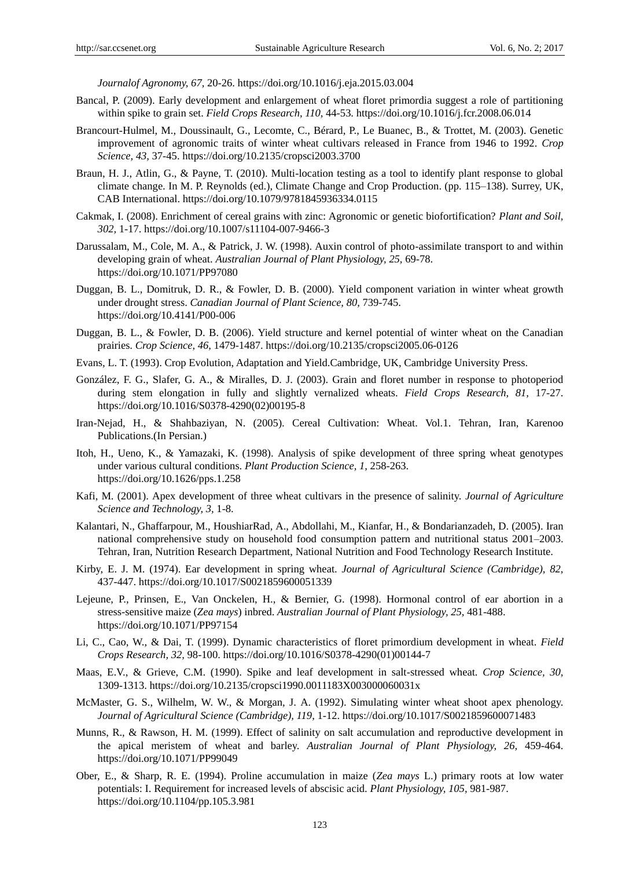*Journalof Agronomy, 67,* 20-26. https://doi.org/10.1016/j.eja.2015.03.004

- Bancal, P. (2009). Early development and enlargement of wheat floret primordia suggest a role of partitioning within spike to grain set. *Field Crops Research, 110,* 44-53. https://doi.org/10.1016/j.fcr.2008.06.014
- Brancourt-Hulmel, M., Doussinault, G., Lecomte, C., Bérard, P., Le Buanec, B., & Trottet, M. (2003). Genetic improvement of agronomic traits of winter wheat cultivars released in France from 1946 to 1992. *Crop Science, 43,* 37-45. https://doi.org/10.2135/cropsci2003.3700
- Braun, H. J., Atlin, G., & Payne, T. (2010). Multi-location testing as a tool to identify plant response to global climate change. In M. P. Reynolds (ed.), Climate Change and Crop Production. (pp. 115–138). Surrey, UK, CAB International. https://doi.org/10.1079/9781845936334.0115
- Cakmak, I. (2008). Enrichment of cereal grains with zinc: Agronomic or genetic biofortification? *Plant and Soil, 302,* 1-17. https://doi.org/10.1007/s11104-007-9466-3
- Darussalam, M., Cole, M. A., & Patrick, J. W. (1998). Auxin control of photo-assimilate transport to and within developing grain of wheat. *Australian Journal of Plant Physiology, 25,* 69-78. https://doi.org/10.1071/PP97080
- Duggan, B. L., Domitruk, D. R., & Fowler, D. B. (2000). Yield component variation in winter wheat growth under drought stress. *Canadian Journal of Plant Science, 80,* 739-745. https://doi.org/10.4141/P00-006
- Duggan, B. L., & Fowler, D. B. (2006). Yield structure and kernel potential of winter wheat on the Canadian prairies. *Crop Science, 46,* 1479-1487. https://doi.org/10.2135/cropsci2005.06-0126
- Evans, L. T. (1993). Crop Evolution, Adaptation and Yield.Cambridge, UK, Cambridge University Press.
- González, F. G., Slafer, G. A., & Miralles, D. J. (2003). Grain and floret number in response to photoperiod during stem elongation in fully and slightly vernalized wheats. *Field Crops Research, 81,* 17-27. https://doi.org/10.1016/S0378-4290(02)00195-8
- Iran-Nejad, H., & Shahbaziyan, N. (2005). Cereal Cultivation: Wheat. Vol.1. Tehran, Iran, Karenoo Publications.(In Persian.)
- Itoh, H., Ueno, K., & Yamazaki, K. (1998). Analysis of spike development of three spring wheat genotypes under various cultural conditions. *Plant Production Science, 1,* 258-263. https://doi.org/10.1626/pps.1.258
- Kafi, M. (2001). Apex development of three wheat cultivars in the presence of salinity. *Journal of Agriculture Science and Technology, 3,* 1-8.
- Kalantari, N., Ghaffarpour, M., HoushiarRad, A., Abdollahi, M., Kianfar, H., & Bondarianzadeh, D. (2005). Iran national comprehensive study on household food consumption pattern and nutritional status 2001–2003. Tehran, Iran, Nutrition Research Department, National Nutrition and Food Technology Research Institute.
- Kirby, E. J. M. (1974). Ear development in spring wheat. *Journal of Agricultural Science (Cambridge), 82,* 437-447. https://doi.org/10.1017/S0021859600051339
- Lejeune, P., Prinsen, E., Van Onckelen, H., & Bernier, G. (1998). Hormonal control of ear abortion in a stress-sensitive maize (*Zea mays*) inbred. *Australian Journal of Plant Physiology, 25,* 481-488. https://doi.org/10.1071/PP97154
- Li, C., Cao, W., & Dai, T. (1999). Dynamic characteristics of floret primordium development in wheat. *Field Crops Research, 32,* 98-100. https://doi.org/10.1016/S0378-4290(01)00144-7
- Maas, E.V., & Grieve, C.M. (1990). Spike and leaf development in salt-stressed wheat. *Crop Science, 30,* 1309-1313. https://doi.org/10.2135/cropsci1990.0011183X003000060031x
- McMaster, G. S., Wilhelm, W. W., & Morgan, J. A. (1992). Simulating winter wheat shoot apex phenology. *Journal of Agricultural Science (Cambridge), 119,* 1-12. https://doi.org/10.1017/S0021859600071483
- Munns, R., & Rawson, H. M. (1999). Effect of salinity on salt accumulation and reproductive development in the apical meristem of wheat and barley. *Australian Journal of Plant Physiology, 26,* 459-464. https://doi.org/10.1071/PP99049
- Ober, E., & Sharp, R. E. (1994). Proline accumulation in maize (*Zea mays* L.) primary roots at low water potentials: I. Requirement for increased levels of abscisic acid. *Plant Physiology, 105,* 981-987. https://doi.org/10.1104/pp.105.3.981